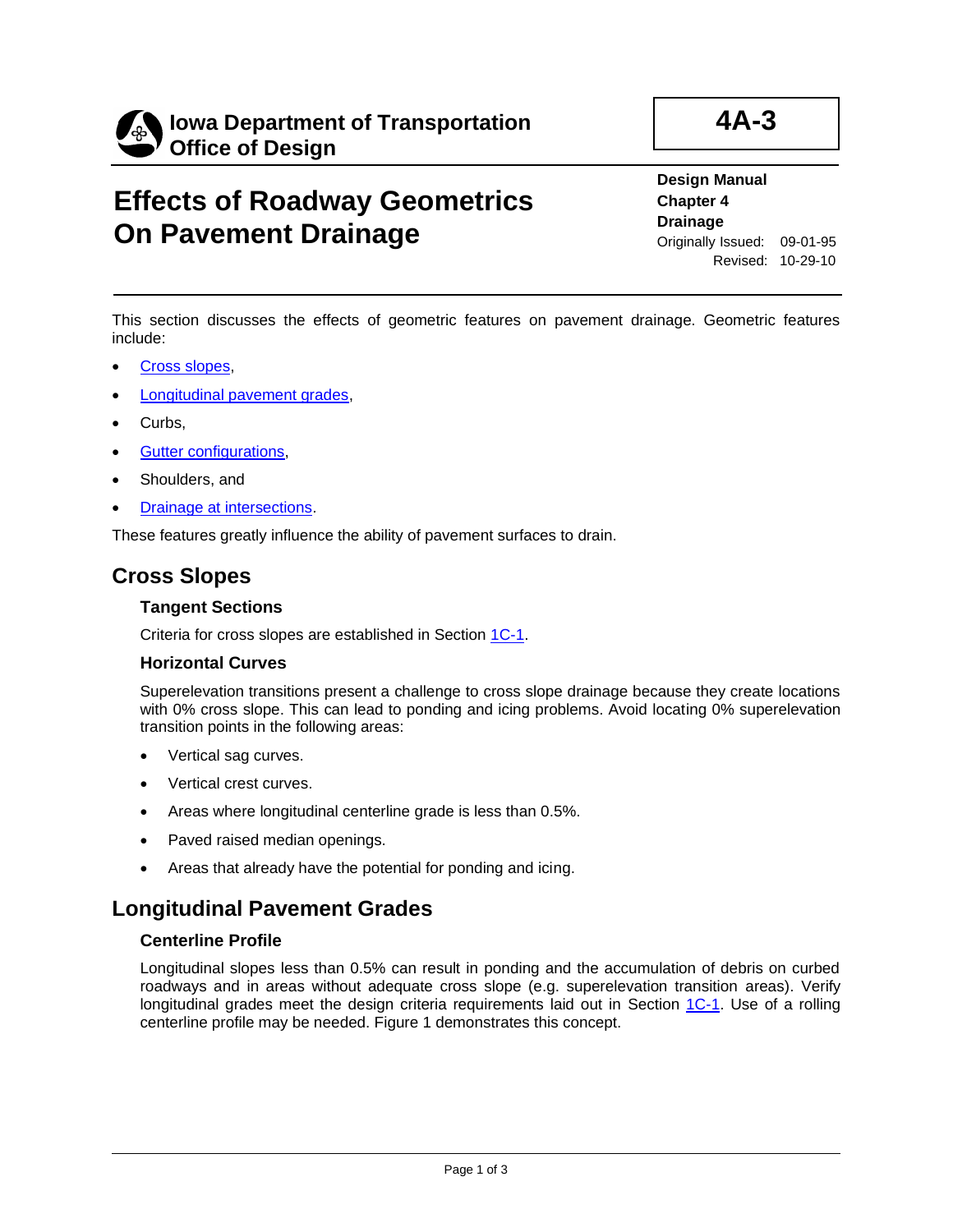

# **Effects of Roadway Geometrics On Pavement Drainage**

**Design Manual Chapter 4 Drainage** Originally Issued: 09-01-95 Revised: 10-29-10

**4A-3**

This section discusses the effects of geometric features on pavement drainage. Geometric features include:

- [Cross slopes,](#page-0-0)
- [Longitudinal pavement grades,](#page-0-1)
- Curbs.
- **[Gutter configurations,](#page-1-0)**
- Shoulders, and
- [Drainage at intersections.](#page-2-0)

These features greatly influence the ability of pavement surfaces to drain.

# <span id="page-0-0"></span>**Cross Slopes**

## **Tangent Sections**

Criteria for cross slopes are established in Section [1C-1.](01c-01.pdf)

### **Horizontal Curves**

Superelevation transitions present a challenge to cross slope drainage because they create locations with 0% cross slope. This can lead to ponding and icing problems. Avoid locating 0% superelevation transition points in the following areas:

- Vertical sag curves.
- Vertical crest curves.
- Areas where longitudinal centerline grade is less than 0.5%.
- Paved raised median openings.
- Areas that already have the potential for ponding and icing.

# <span id="page-0-1"></span>**Longitudinal Pavement Grades**

### **Centerline Profile**

Longitudinal slopes less than 0.5% can result in ponding and the accumulation of debris on curbed roadways and in areas without adequate cross slope (e.g. superelevation transition areas). Verify longitudinal grades meet the design criteria requirements laid out in Section  $1C-1$ . Use of a rolling centerline profile may be needed. Figure 1 demonstrates this concept.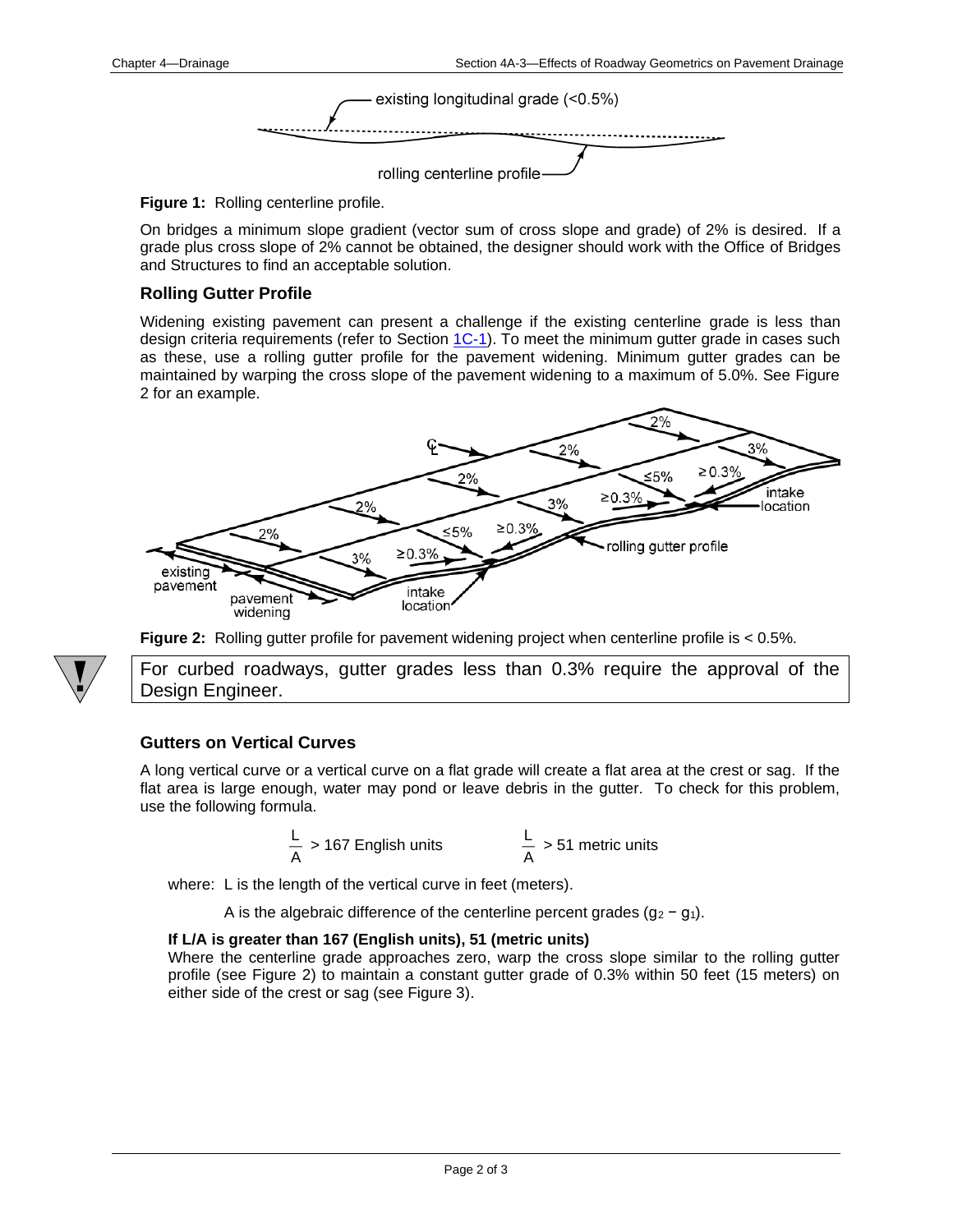

**Figure 1:** Rolling centerline profile.

On bridges a minimum slope gradient (vector sum of cross slope and grade) of 2% is desired. If a grade plus cross slope of 2% cannot be obtained, the designer should work with the Office of Bridges and Structures to find an acceptable solution.

## <span id="page-1-0"></span>**Rolling Gutter Profile**

Widening existing pavement can present a challenge if the existing centerline grade is less than design criteria requirements (refer to Section  $1C-1$ ). To meet the minimum gutter grade in cases such as these, use a rolling gutter profile for the pavement widening. Minimum gutter grades can be maintained by warping the cross slope of the pavement widening to a maximum of 5.0%. See Figure 2 for an example.







For curbed roadways, gutter grades less than 0.3% require the approval of the Design Engineer.

# **Gutters on Vertical Curves**

A long vertical curve or a vertical curve on a flat grade will create a flat area at the crest or sag. If the flat area is large enough, water may pond or leave debris in the gutter. To check for this problem, use the following formula.

$$
\frac{L}{A} > 167
$$
 English units 
$$
\frac{L}{A} > 51
$$
 metric units

where: L is the length of the vertical curve in feet (meters).

A is the algebraic difference of the centerline percent grades  $(g_2 - g_1)$ .

### **If L/A is greater than 167 (English units), 51 (metric units)**

Where the centerline grade approaches zero, warp the cross slope similar to the rolling gutter profile (see Figure 2) to maintain a constant gutter grade of 0.3% within 50 feet (15 meters) on either side of the crest or sag (see Figure 3).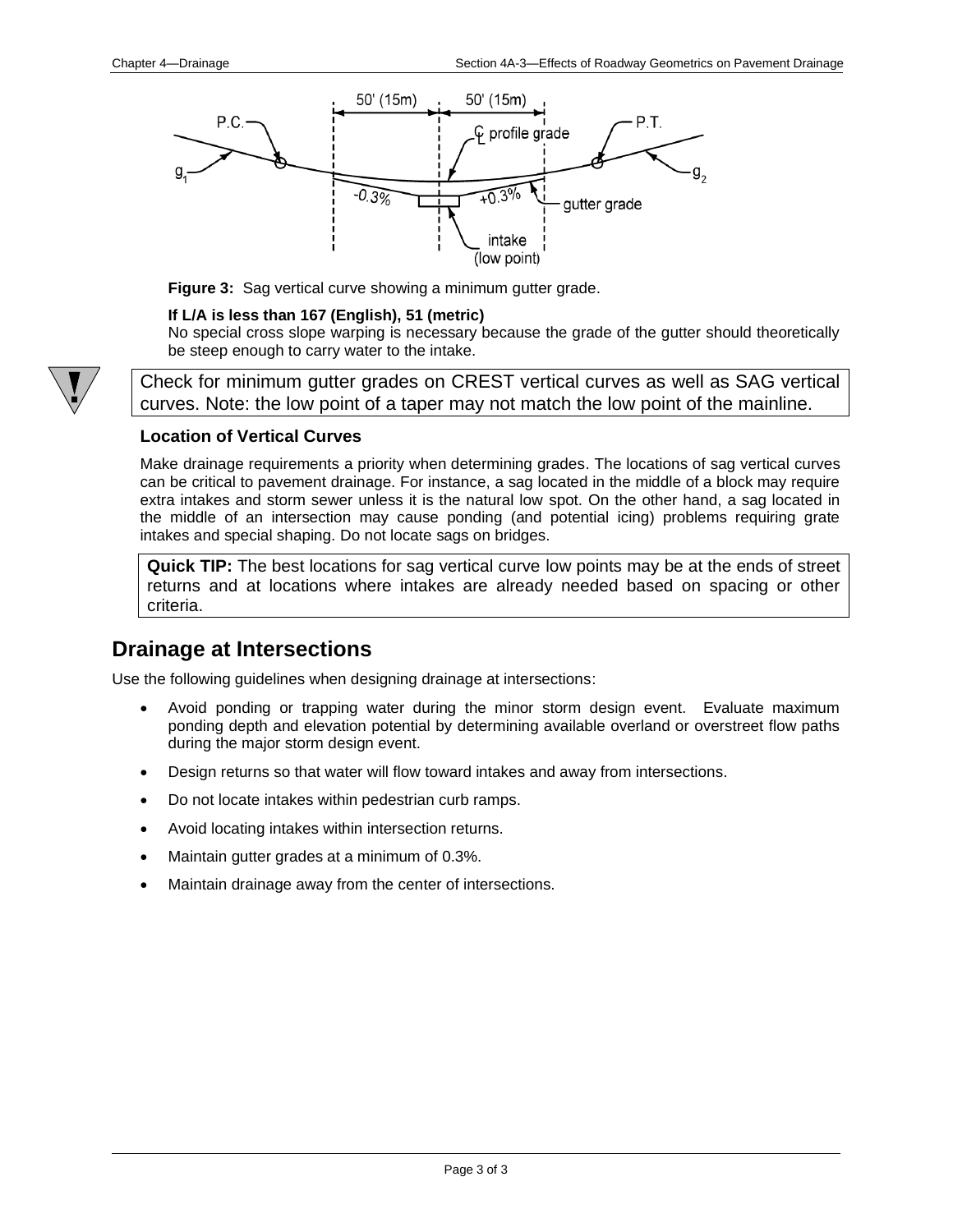

**Figure 3:** Sag vertical curve showing a minimum gutter grade.

### **If L/A is less than 167 (English), 51 (metric)**

No special cross slope warping is necessary because the grade of the gutter should theoretically be steep enough to carry water to the intake.

Check for minimum gutter grades on CREST vertical curves as well as SAG vertical curves. Note: the low point of a taper may not match the low point of the mainline.

## **Location of Vertical Curves**

Make drainage requirements a priority when determining grades. The locations of sag vertical curves can be critical to pavement drainage. For instance, a sag located in the middle of a block may require extra intakes and storm sewer unless it is the natural low spot. On the other hand, a sag located in the middle of an intersection may cause ponding (and potential icing) problems requiring grate intakes and special shaping. Do not locate sags on bridges.

**Quick TIP:** The best locations for sag vertical curve low points may be at the ends of street returns and at locations where intakes are already needed based on spacing or other criteria.

# <span id="page-2-0"></span>**Drainage at Intersections**

Use the following guidelines when designing drainage at intersections:

- Avoid ponding or trapping water during the minor storm design event. Evaluate maximum ponding depth and elevation potential by determining available overland or overstreet flow paths during the major storm design event.
- Design returns so that water will flow toward intakes and away from intersections.
- Do not locate intakes within pedestrian curb ramps.
- Avoid locating intakes within intersection returns.
- Maintain gutter grades at a minimum of 0.3%.
- Maintain drainage away from the center of intersections.